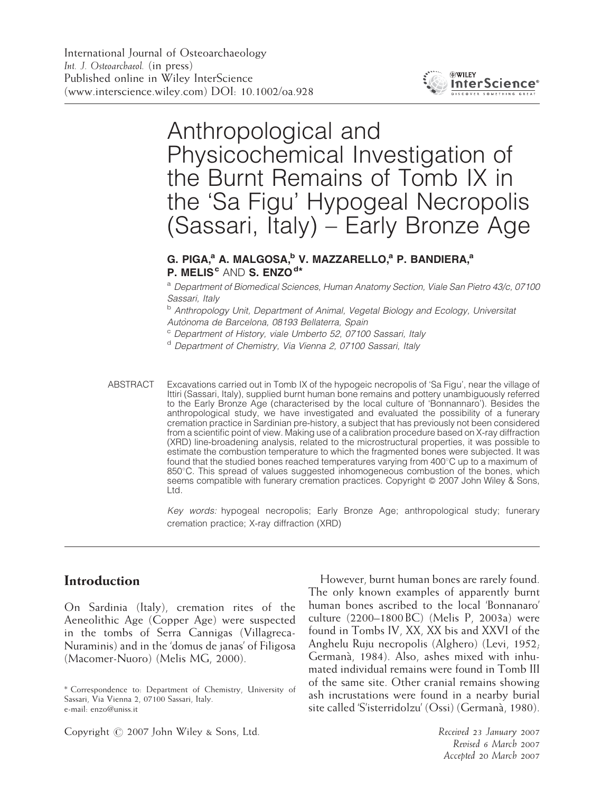

# Anthropological and Physicochemical Investigation of the Burnt Remains of Tomb IX in the 'Sa Figu' Hypogeal Necropolis (Sassari, Italy) – Early Bronze Age

### G. PIGA, $^a$  A. MALGOSA, $^b$  V. MAZZARELLO, $^a$  P. BANDIERA, $^a$ P. MELIS<sup>c</sup> AND S. ENZO<sup>d\*</sup>

a Department of Biomedical Sciences, Human Anatomy Section, Viale San Pietro 43/c, 07100 Sassari, Italy

b Anthropology Unit, Department of Animal, Vegetal Biology and Ecology, Universitat Autònoma de Barcelona, 08193 Bellaterra, Spain

<sup>c</sup> Department of History, viale Umberto 52, 07100 Sassari, Italy

<sup>d</sup> Department of Chemistry, Via Vienna 2, 07100 Sassari, Italy

Key words: hypogeal necropolis; Early Bronze Age; anthropological study; funerary cremation practice; X-ray diffraction (XRD)

#### Introduction

On Sardinia (Italy), cremation rites of the Aeneolithic Age (Copper Age) were suspected in the tombs of Serra Cannigas (Villagreca-Nuraminis) and in the 'domus de janas' of Filigosa (Macomer-Nuoro) (Melis MG, 2000).

However, burnt human bones are rarely found. The only known examples of apparently burnt human bones ascribed to the local 'Bonnanaro' culture (2200–1800 BC) (Melis P, 2003a) were found in Tombs IV, XX, XX bis and XXVI of the Anghelu Ruju necropolis (Alghero) (Levi, 1952; Germana`, 1984). Also, ashes mixed with inhumated individual remains were found in Tomb III of the same site. Other cranial remains showing ash incrustations were found in a nearby burial site called 'S'isterridolzu' (Ossi) (Germanà, 1980).

Copyright  $\oslash$  2007 John Wiley & Sons, Ltd. Received 23 January 2007

Revised 6 March 2007 Accepted 20 March 2007

ABSTRACT Excavations carried out in Tomb IX of the hypogeic necropolis of 'Sa Figu', near the village of Ittiri (Sassari, Italy), supplied burnt human bone remains and pottery unambiguously referred to the Early Bronze Age (characterised by the local culture of 'Bonnannaro'). Besides the anthropological study, we have investigated and evaluated the possibility of a funerary cremation practice in Sardinian pre-history, a subject that has previously not been considered from a scientific point of view. Making use of a calibration procedure based on X-ray diffraction (XRD) line-broadening analysis, related to the microstructural properties, it was possible to estimate the combustion temperature to which the fragmented bones were subjected. It was found that the studied bones reached temperatures varying from  $400^{\circ}$ C up to a maximum of 850°C. This spread of values suggested inhomogeneous combustion of the bones, which seems compatible with funerary cremation practices. Copyright  $\odot$  2007 John Wiley & Sons, Ltd.

<sup>\*</sup> Correspondence to: Department of Chemistry, University of Sassari, Via Vienna 2, 07100 Sassari, Italy. e-mail: enzo@uniss.it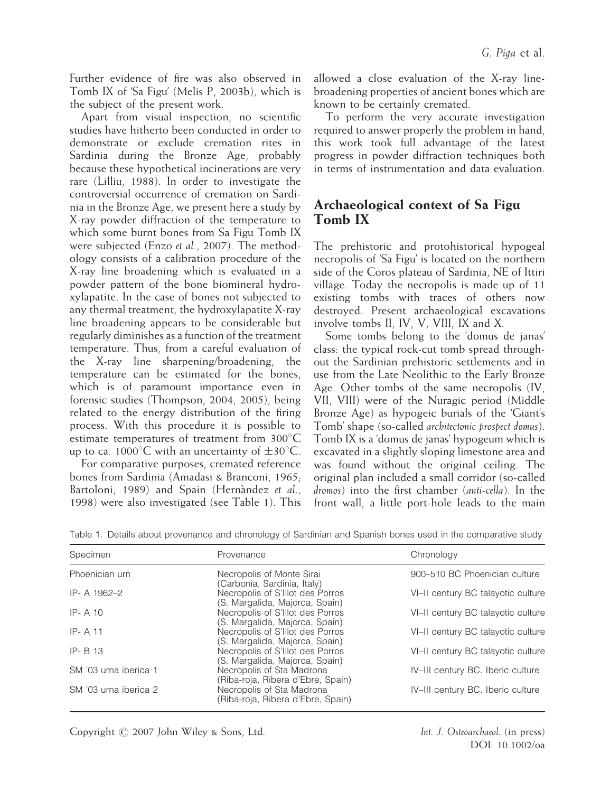Further evidence of fire was also observed in Tomb IX of 'Sa Figu' (Melis P, 2003b), which is the subject of the present work.

Apart from visual inspection, no scientific studies have hitherto been conducted in order to demonstrate or exclude cremation rites in Sardinia during the Bronze Age, probably because these hypothetical incinerations are very rare (Lilliu, 1988). In order to investigate the controversial occurrence of cremation on Sardinia in the Bronze Age, we present here a study by X-ray powder diffraction of the temperature to which some burnt bones from Sa Figu Tomb IX were subjected (Enzo et al., 2007). The methodology consists of a calibration procedure of the X-ray line broadening which is evaluated in a powder pattern of the bone biomineral hydroxylapatite. In the case of bones not subjected to any thermal treatment, the hydroxylapatite X-ray line broadening appears to be considerable but regularly diminishes as a function of the treatment temperature. Thus, from a careful evaluation of the X-ray line sharpening/broadening, the temperature can be estimated for the bones, which is of paramount importance even in forensic studies (Thompson, 2004, 2005), being related to the energy distribution of the firing process. With this procedure it is possible to estimate temperatures of treatment from  $300^{\circ}$ C up to ca. 1000 $\degree$ C with an uncertainty of  $\pm 30\degree$ C.

For comparative purposes, cremated reference bones from Sardinia (Amadasi & Branconi, 1965; Bartoloni, 1989) and Spain (Hernàndez et al., 1998) were also investigated (see Table 1). This allowed a close evaluation of the X-ray linebroadening properties of ancient bones which are known to be certainly cremated.

To perform the very accurate investigation required to answer properly the problem in hand, this work took full advantage of the latest progress in powder diffraction techniques both in terms of instrumentation and data evaluation.

# Archaeological context of Sa Figu Tomb IX

The prehistoric and protohistorical hypogeal necropolis of 'Sa Figu' is located on the northern side of the Coros plateau of Sardinia, NE of Ittiri village. Today the necropolis is made up of 11 existing tombs with traces of others now destroyed. Present archaeological excavations involve tombs II, IV, V, VIII, IX and X.

Some tombs belong to the 'domus de janas' class: the typical rock-cut tomb spread throughout the Sardinian prehistoric settlements and in use from the Late Neolithic to the Early Bronze Age. Other tombs of the same necropolis (IV, VII, VIII) were of the Nuragic period (Middle Bronze Age) as hypogeic burials of the 'Giant's Tomb' shape (so-called architectonic prospect domus). Tomb IX is a 'domus de janas' hypogeum which is excavated in a slightly sloping limestone area and was found without the original ceiling. The original plan included a small corridor (so-called dromos) into the first chamber (anti-cella). In the front wall, a little port-hole leads to the main

| Specimen              | Provenance                                                         | Chronology                         |
|-----------------------|--------------------------------------------------------------------|------------------------------------|
| Phoenician urn        | Necropolis of Monte Sirai<br>(Carbonia, Sardinia, Italy)           | 900–510 BC Phoenician culture      |
| IP-A 1962-2           | Necropolis of S'Illot des Porros<br>(S. Margalida, Majorca, Spain) | VI-II century BC talayotic culture |
| $IP - A$ 10           | Necropolis of S'Illot des Porros<br>(S. Margalida, Majorca, Spain) | VI-II century BC talayotic culture |
| $IP - A$ 11           | Necropolis of S'Illot des Porros<br>(S. Margalida, Majorca, Spain) | VI-II century BC talayotic culture |
| IP- B 13              | Necropolis of S'Illot des Porros<br>(S. Margalida, Majorca, Spain) | VI-II century BC talayotic culture |
| SM '03 urna iberica 1 | Necropolis of Sta Madrona<br>(Riba-roja, Ribera d'Ebre, Spain)     | IV-III century BC. Iberic culture  |
| SM '03 urna iberica 2 | Necropolis of Sta Madrona<br>(Riba-roja, Ribera d'Ebre, Spain)     | IV-III century BC. Iberic culture  |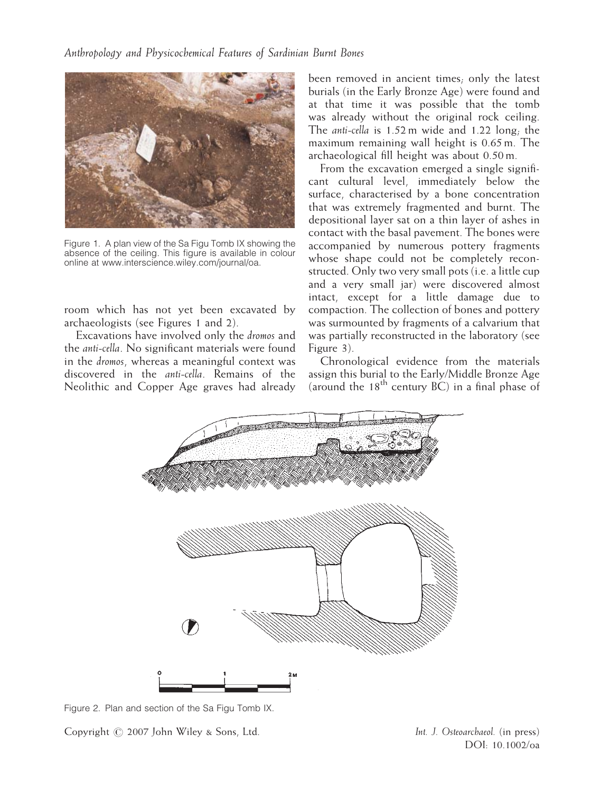

Figure 1. A plan view of the Sa Figu Tomb IX showing the absence of the ceiling. This figure is available in colour online at www.interscience.wiley.com/journal/oa.

room which has not yet been excavated by archaeologists (see Figures 1 and 2).

Excavations have involved only the dromos and the anti-cella. No significant materials were found in the dromos, whereas a meaningful context was discovered in the anti-cella. Remains of the Neolithic and Copper Age graves had already been removed in ancient times; only the latest burials (in the Early Bronze Age) were found and at that time it was possible that the tomb was already without the original rock ceiling. The anti-cella is 1.52 m wide and 1.22 long; the maximum remaining wall height is 0.65 m. The archaeological fill height was about 0.50 m.

From the excavation emerged a single significant cultural level, immediately below the surface, characterised by a bone concentration that was extremely fragmented and burnt. The depositional layer sat on a thin layer of ashes in contact with the basal pavement. The bones were accompanied by numerous pottery fragments whose shape could not be completely reconstructed. Only two very small pots (i.e. a little cup and a very small jar) were discovered almost intact, except for a little damage due to compaction. The collection of bones and pottery was surmounted by fragments of a calvarium that was partially reconstructed in the laboratory (see Figure 3).

Chronological evidence from the materials assign this burial to the Early/Middle Bronze Age (around the  $18^{th}$  century  $\overrightarrow{BC}$ ) in a final phase of



Figure 2. Plan and section of the Sa Figu Tomb IX.

Copyright  $\oslash$  2007 John Wiley & Sons, Ltd. Int. J. Osteoarchaeol. (in press)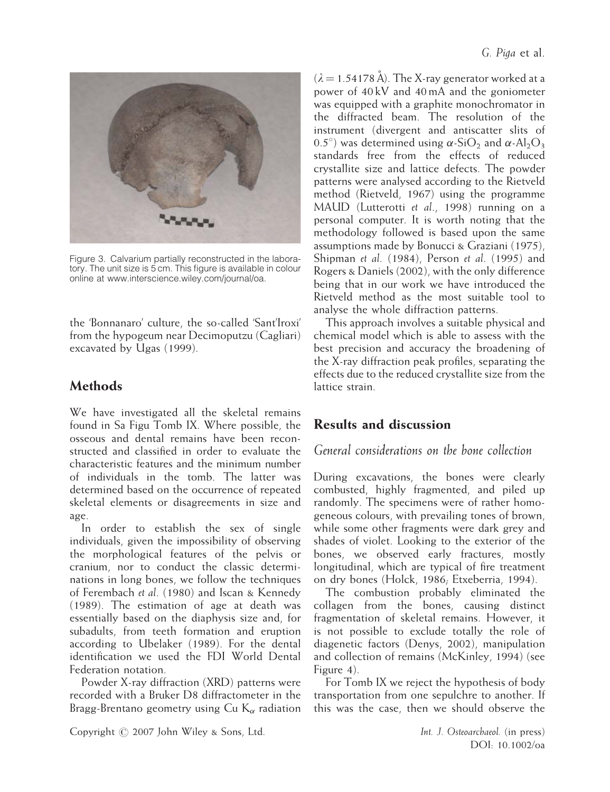

Figure 3. Calvarium partially reconstructed in the laboratory. The unit size is 5 cm. This figure is available in colour online at www.interscience.wiley.com/journal/oa.

the 'Bonnanaro' culture, the so-called 'Sant'Iroxi' from the hypogeum near Decimoputzu (Cagliari) excavated by Ugas (1999).

# Methods

We have investigated all the skeletal remains found in Sa Figu Tomb IX. Where possible, the osseous and dental remains have been reconstructed and classified in order to evaluate the characteristic features and the minimum number of individuals in the tomb. The latter was determined based on the occurrence of repeated skeletal elements or disagreements in size and age.

In order to establish the sex of single individuals, given the impossibility of observing the morphological features of the pelvis or cranium, nor to conduct the classic determinations in long bones, we follow the techniques of Ferembach et al. (1980) and Iscan & Kennedy (1989). The estimation of age at death was essentially based on the diaphysis size and, for subadults, from teeth formation and eruption according to Ubelaker (1989). For the dental identification we used the FDI World Dental Federation notation.

Powder X-ray diffraction (XRD) patterns were recorded with a Bruker D8 diffractometer in the Bragg-Brentano geometry using Cu  $K_{\alpha}$  radiation  $(\lambda = 1.54178 \text{ Å})$ . The X-ray generator worked at a power of 40 kV and 40 mA and the goniometer was equipped with a graphite monochromator in the diffracted beam. The resolution of the instrument (divergent and antiscatter slits of 0.5°) was determined using  $\alpha$ -SiO<sub>2</sub> and  $\alpha$ -Al<sub>2</sub>O<sub>3</sub> standards free from the effects of reduced crystallite size and lattice defects. The powder patterns were analysed according to the Rietveld method (Rietveld, 1967) using the programme MAUD (Lutterotti et al., 1998) running on a personal computer. It is worth noting that the methodology followed is based upon the same assumptions made by Bonucci & Graziani (1975), Shipman et al. (1984), Person et al. (1995) and Rogers & Daniels (2002), with the only difference being that in our work we have introduced the Rietveld method as the most suitable tool to analyse the whole diffraction patterns.

This approach involves a suitable physical and chemical model which is able to assess with the best precision and accuracy the broadening of the X-ray diffraction peak profiles, separating the effects due to the reduced crystallite size from the lattice strain.

# Results and discussion

#### General considerations on the bone collection

During excavations, the bones were clearly combusted, highly fragmented, and piled up randomly. The specimens were of rather homogeneous colours, with prevailing tones of brown, while some other fragments were dark grey and shades of violet. Looking to the exterior of the bones, we observed early fractures, mostly longitudinal, which are typical of fire treatment on dry bones (Holck, 1986; Etxeberria, 1994).

The combustion probably eliminated the collagen from the bones, causing distinct fragmentation of skeletal remains. However, it is not possible to exclude totally the role of diagenetic factors (Denys, 2002), manipulation and collection of remains (McKinley, 1994) (see Figure 4).

For Tomb IX we reject the hypothesis of body transportation from one sepulchre to another. If this was the case, then we should observe the

Copyright  $\oslash$  2007 John Wiley & Sons, Ltd. Int. J. Osteoarchaeol. (in press)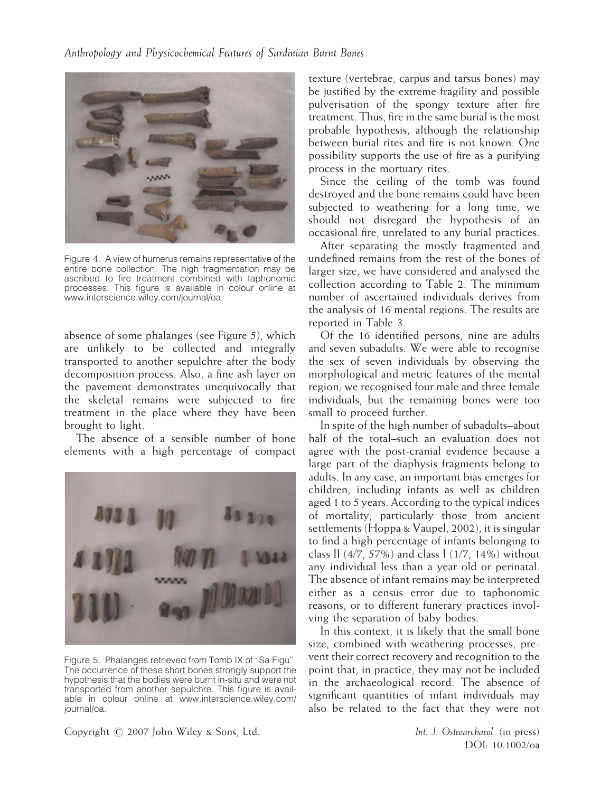

Figure 4. A view of humerus remains representative of the entire bone collection. The high fragmentation may be ascribed to fire treatment combined with taphonomic processes. This figure is available in colour online at www.interscience.wiley.com/journal/oa.

absence of some phalanges (see Figure 5), which are unlikely to be collected and integrally transported to another sepulchre after the body decomposition process. Also, a fine ash layer on the pavement demonstrates unequivocally that the skeletal remains were subjected to fire treatment in the place where they have been brought to light.

The absence of a sensible number of bone elements with a high percentage of compact



Figure 5. Phalanges retrieved from Tomb IX of ''Sa Figu''. The occurrence of these short bones strongly support the hypothesis that the bodies were burnt in-situ and were not transported from another sepulchre. This figure is available in colour online at www.interscience.wiley.com/ journal/oa.

texture (vertebrae, carpus and tarsus bones) may be justified by the extreme fragility and possible pulverisation of the spongy texture after fire treatment. Thus, fire in the same burial is the most probable hypothesis, although the relationship between burial rites and fire is not known. One possibility supports the use of fire as a purifying process in the mortuary rites.

Since the ceiling of the tomb was found destroyed and the bone remains could have been subjected to weathering for a long time, we should not disregard the hypothesis of an occasional fire, unrelated to any burial practices.

After separating the mostly fragmented and undefined remains from the rest of the bones of larger size, we have considered and analysed the collection according to Table 2. The minimum number of ascertained individuals derives from the analysis of 16 mental regions. The results are reported in Table 3.

Of the 16 identified persons, nine are adults and seven subadults. We were able to recognise the sex of seven individuals by observing the morphological and metric features of the mental region; we recognised four male and three female individuals, but the remaining bones were too small to proceed further.

In spite of the high number of subadults–about half of the total–such an evaluation does not agree with the post-cranial evidence because a large part of the diaphysis fragments belong to adults. In any case, an important bias emerges for children, including infants as well as children aged 1 to 5 years. According to the typical indices of mortality, particularly those from ancient settlements (Hoppa & Vaupel, 2002), it is singular to find a high percentage of infants belonging to class II (4/7, 57%) and class I (1/7, 14%) without any individual less than a year old or perinatal. The absence of infant remains may be interpreted either as a census error due to taphonomic reasons, or to different funerary practices involving the separation of baby bodies.

In this context, it is likely that the small bone size, combined with weathering processes, prevent their correct recovery and recognition to the point that, in practice, they may not be included in the archaeological record. The absence of significant quantities of infant individuals may also be related to the fact that they were not

Copyright  $\oslash$  2007 John Wiley & Sons, Ltd. Int. J. Osteoarchaeol. (in press)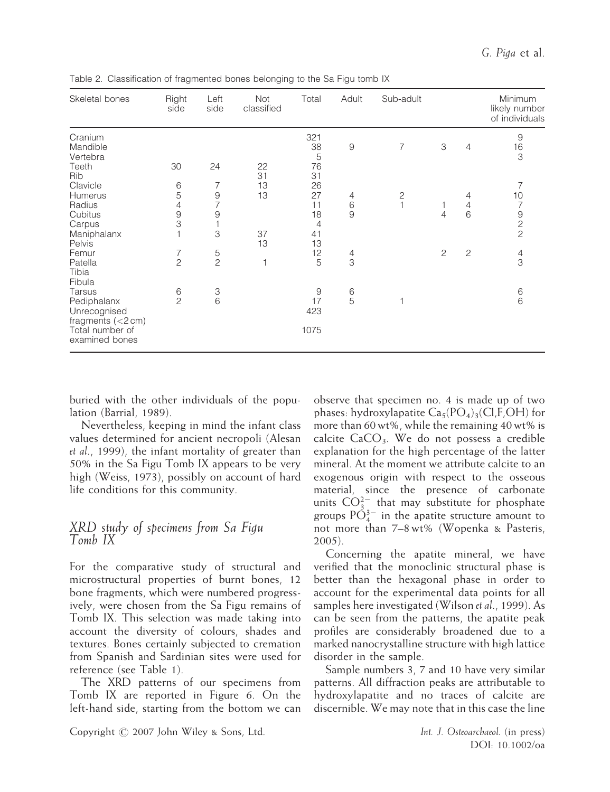| Skeletal bones                                   | Right<br>side   | Left<br>side              | <b>Not</b><br>classified | Total         | Adult               | Sub-adult                    |                |                 | Minimum<br>likely number<br>of individuals |
|--------------------------------------------------|-----------------|---------------------------|--------------------------|---------------|---------------------|------------------------------|----------------|-----------------|--------------------------------------------|
| Cranium<br>Mandible                              |                 |                           |                          | 321<br>38     | 9                   | 7                            | 3              | 4               | $\overline{9}$<br>16                       |
| Vertebra<br>Teeth<br>Rib                         | 30              | 24                        | 22<br>31                 | 5<br>76<br>31 |                     |                              |                |                 | 3                                          |
| Clavicle                                         | 6               | 7                         | 13                       | 26            |                     |                              |                |                 | 7                                          |
| <b>Humerus</b><br>Radius                         | 5<br>4          | $9$<br>7                  | 13                       | 27<br>11      | 4<br>$\,$ 6 $\,$    | $\mathbf{2}$<br>$\mathbf{1}$ |                | 4<br>$\sqrt{4}$ | 10<br>7                                    |
| Cubitus<br>Carpus                                | $\hbox{9}$<br>3 | 9<br>1                    |                          | 18<br>4       | 9                   |                              | $\overline{4}$ | 6               | $\begin{array}{c} 9 \\ 2 \\ 2 \end{array}$ |
| Maniphalanx<br>Pelvis                            |                 | 3                         | 37<br>13                 | 41<br>13      |                     |                              |                |                 |                                            |
| Femur                                            | 7               | 5<br>$\overline{c}$       |                          | 12            | $\overline{4}$<br>3 |                              | 2              | 2               | $\overline{4}$<br>3                        |
| Patella<br>Tibia<br>Fibula                       | $\overline{2}$  |                           | 1                        | 5             |                     |                              |                |                 |                                            |
| Tarsus                                           | 6               | $\ensuremath{\mathsf{3}}$ |                          | 9             | 6                   |                              |                |                 | 6                                          |
| Pediphalanx<br>Unrecognised<br>fragments (<2 cm) | $\overline{c}$  | $6\phantom{1}6$           |                          | 17<br>423     | 5                   | 1                            |                |                 | 6                                          |
| Total number of<br>examined bones                |                 |                           |                          | 1075          |                     |                              |                |                 |                                            |

Table 2. Classification of fragmented bones belonging to the Sa Figu tomb IX

buried with the other individuals of the population (Barrial, 1989).

Nevertheless, keeping in mind the infant class values determined for ancient necropoli (Alesan et al., 1999), the infant mortality of greater than 50% in the Sa Figu Tomb IX appears to be very high (Weiss, 1973), possibly on account of hard life conditions for this community.

#### XRD study of specimens from Sa Figu Tomb IX

For the comparative study of structural and microstructural properties of burnt bones, 12 bone fragments, which were numbered progressively, were chosen from the Sa Figu remains of Tomb IX. This selection was made taking into account the diversity of colours, shades and textures. Bones certainly subjected to cremation from Spanish and Sardinian sites were used for reference (see Table 1).

The XRD patterns of our specimens from Tomb IX are reported in Figure 6. On the left-hand side, starting from the bottom we can observe that specimen no. 4 is made up of two phases: hydroxylapatite  $Ca<sub>5</sub>(PO<sub>4</sub>)<sub>3</sub>(Cl,F,OH)$  for more than 60 wt%, while the remaining 40 wt% is calcite  $CaCO<sub>3</sub>$ . We do not possess a credible explanation for the high percentage of the latter mineral. At the moment we attribute calcite to an exogenous origin with respect to the osseous material, since the presence of carbonate units  $CO_{3}^{2-}$  that may substitute for phosphate groups  $P\check{\mathrm{O}}_{4}^{3-}$  in the apatite structure amount to not more than 7–8 wt% (Wopenka & Pasteris, 2005).

Concerning the apatite mineral, we have verified that the monoclinic structural phase is better than the hexagonal phase in order to account for the experimental data points for all samples here investigated (Wilson et al., 1999). As can be seen from the patterns, the apatite peak profiles are considerably broadened due to a marked nanocrystalline structure with high lattice disorder in the sample.

Sample numbers 3, 7 and 10 have very similar patterns. All diffraction peaks are attributable to hydroxylapatite and no traces of calcite are discernible. We may note that in this case the line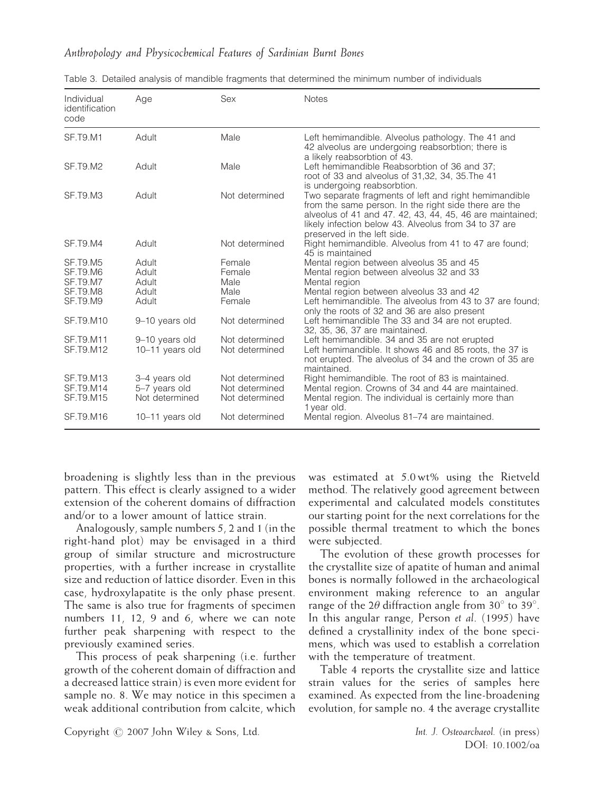#### Anthropology and Physicochemical Features of Sardinian Burnt Bones

| Individual<br>identification<br>code | Age             | Sex            | <b>Notes</b>                                                                                                                                                                                                                                                        |
|--------------------------------------|-----------------|----------------|---------------------------------------------------------------------------------------------------------------------------------------------------------------------------------------------------------------------------------------------------------------------|
| <b>SF.T9.M1</b>                      | Adult           | Male           | Left hemimandible. Alveolus pathology. The 41 and<br>42 alveolus are undergoing reabsorbtion; there is<br>a likely reabsorbtion of 43.                                                                                                                              |
| <b>SF.T9.M2</b>                      | Adult           | Male           | Left hemimandible Reabsorbtion of 36 and 37:<br>root of 33 and alveolus of 31,32, 34, 35. The 41<br>is undergoing reabsorbtion.                                                                                                                                     |
| SF.T9.M3                             | Adult           | Not determined | Two separate fragments of left and right hemimandible<br>from the same person. In the right side there are the<br>alveolus of 41 and 47, 42, 43, 44, 45, 46 are maintained;<br>likely infection below 43. Alveolus from 34 to 37 are<br>preserved in the left side. |
| <b>SF.T9.M4</b>                      | Adult           | Not determined | Right hemimandible. Alveolus from 41 to 47 are found;<br>45 is maintained                                                                                                                                                                                           |
| <b>SF.T9.M5</b>                      | Adult           | Female         | Mental region between alveolus 35 and 45                                                                                                                                                                                                                            |
| SF.T9.M6                             | Adult           | Female         | Mental region between alveolus 32 and 33                                                                                                                                                                                                                            |
| SF.T9.M7                             | Adult           | Male           | Mental region                                                                                                                                                                                                                                                       |
| SF.T9.M8                             | Adult           | Male           | Mental region between alveolus 33 and 42                                                                                                                                                                                                                            |
| SF.T9.M9                             | Adult           | Female         | Left hemimandible. The alveolus from 43 to 37 are found;                                                                                                                                                                                                            |
|                                      |                 |                | only the roots of 32 and 36 are also present                                                                                                                                                                                                                        |
| SF.T9.M10                            | 9-10 years old  | Not determined | Left hemimandible The 33 and 34 are not erupted.<br>32, 35, 36, 37 are maintained.                                                                                                                                                                                  |
| <b>SF.T9.M11</b>                     | 9-10 years old  | Not determined | Left hemimandible. 34 and 35 are not erupted                                                                                                                                                                                                                        |
| SF.T9.M12                            | 10-11 years old | Not determined | Left hemimandible. It shows 46 and 85 roots, the 37 is<br>not erupted. The alveolus of 34 and the crown of 35 are<br>maintained.                                                                                                                                    |
| <b>SF.T9.M13</b>                     | 3-4 years old   | Not determined | Right hemimandible. The root of 83 is maintained.                                                                                                                                                                                                                   |
| SF.T9.M14                            | 5-7 years old   | Not determined | Mental region. Crowns of 34 and 44 are maintained.                                                                                                                                                                                                                  |
| <b>SF.T9.M15</b>                     | Not determined  | Not determined | Mental region. The individual is certainly more than<br>1 year old.                                                                                                                                                                                                 |
| SF.T9.M16                            | 10-11 years old | Not determined | Mental region. Alveolus 81–74 are maintained.                                                                                                                                                                                                                       |

|  |  |  |  |  |  | Table 3. Detailed analysis of mandible fragments that determined the minimum number of individuals |  |  |  |  |  |
|--|--|--|--|--|--|----------------------------------------------------------------------------------------------------|--|--|--|--|--|
|--|--|--|--|--|--|----------------------------------------------------------------------------------------------------|--|--|--|--|--|

broadening is slightly less than in the previous pattern. This effect is clearly assigned to a wider extension of the coherent domains of diffraction and/or to a lower amount of lattice strain.

Analogously, sample numbers 5, 2 and 1 (in the right-hand plot) may be envisaged in a third group of similar structure and microstructure properties, with a further increase in crystallite size and reduction of lattice disorder. Even in this case, hydroxylapatite is the only phase present. The same is also true for fragments of specimen numbers 11, 12, 9 and 6, where we can note further peak sharpening with respect to the previously examined series.

This process of peak sharpening (i.e. further growth of the coherent domain of diffraction and a decreased lattice strain) is even more evident for sample no. 8. We may notice in this specimen a weak additional contribution from calcite, which

was estimated at 5.0 wt% using the Rietveld method. The relatively good agreement between experimental and calculated models constitutes our starting point for the next correlations for the possible thermal treatment to which the bones were subjected.

The evolution of these growth processes for the crystallite size of apatite of human and animal bones is normally followed in the archaeological environment making reference to an angular range of the 2 $\theta$  diffraction angle from 30 $\degree$  to 39 $\degree$ . In this angular range, Person et al. (1995) have defined a crystallinity index of the bone specimens, which was used to establish a correlation with the temperature of treatment.

Table 4 reports the crystallite size and lattice strain values for the series of samples here examined. As expected from the line-broadening evolution, for sample no. 4 the average crystallite

Copyright  $\oslash$  2007 John Wiley & Sons, Ltd. Int. J. Osteoarchaeol. (in press)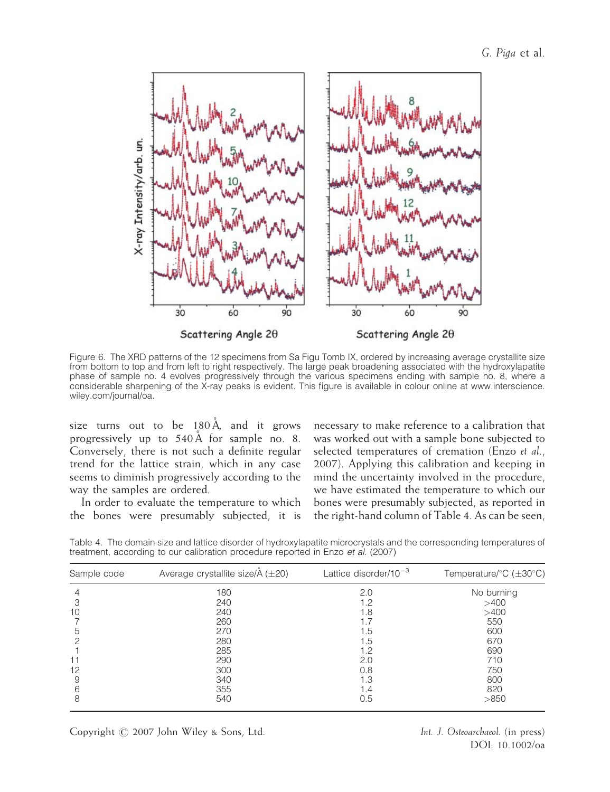

Figure 6. The XRD patterns of the 12 specimens from Sa Figu Tomb IX, ordered by increasing average crystallite size from bottom to top and from left to right respectively. The large peak broadening associated with the hydroxylapatite phase of sample no. 4 evolves progressively through the various specimens ending with sample no. 8, where a considerable sharpening of the X-ray peaks is evident. This figure is available in colour online at www.interscience. wiley.com/journal/oa.

size turns out to be  $180 \text{\AA}$ , and it grows progressively up to  $540\text{\AA}$  for sample no. 8. Conversely, there is not such a definite regular trend for the lattice strain, which in any case seems to diminish progressively according to the way the samples are ordered.

In order to evaluate the temperature to which the bones were presumably subjected, it is necessary to make reference to a calibration that was worked out with a sample bone subjected to selected temperatures of cremation (Enzo et al., 2007). Applying this calibration and keeping in mind the uncertainty involved in the procedure, we have estimated the temperature to which our bones were presumably subjected, as reported in the right-hand column of Table 4. As can be seen,

Table 4. The domain size and lattice disorder of hydroxylapatite microcrystals and the corresponding temperatures of treatment, according to our calibration procedure reported in Enzo et al. (2007)

| Sample code | Average crystallite size/ $\AA$ ( $\pm$ 20) | Lattice disorder/ $10^{-3}$ | Temperature/ $\degree$ C ( $\pm$ 30 $\degree$ C) |  |  |  |  |
|-------------|---------------------------------------------|-----------------------------|--------------------------------------------------|--|--|--|--|
|             | 180                                         | 2.0                         | No burning                                       |  |  |  |  |
|             | 240                                         | 1.2                         | >400                                             |  |  |  |  |
| 10          | 240                                         | 1.8                         | >400                                             |  |  |  |  |
|             | 260                                         |                             | 550                                              |  |  |  |  |
| 5           | 270                                         | 1.5                         | 600                                              |  |  |  |  |
|             | 280                                         | 1.5                         | 670                                              |  |  |  |  |
|             | 285                                         | 1.2                         | 690                                              |  |  |  |  |
|             | 290                                         | 2.0                         | 710                                              |  |  |  |  |
| 12          | 300                                         | 0.8                         | 750                                              |  |  |  |  |
| 9           | 340                                         | 1.3                         | 800                                              |  |  |  |  |
| 6           | 355                                         | 1.4                         | 820                                              |  |  |  |  |
| 8           | 540                                         | 0.5                         | >850                                             |  |  |  |  |

DOI: 10.1002/oa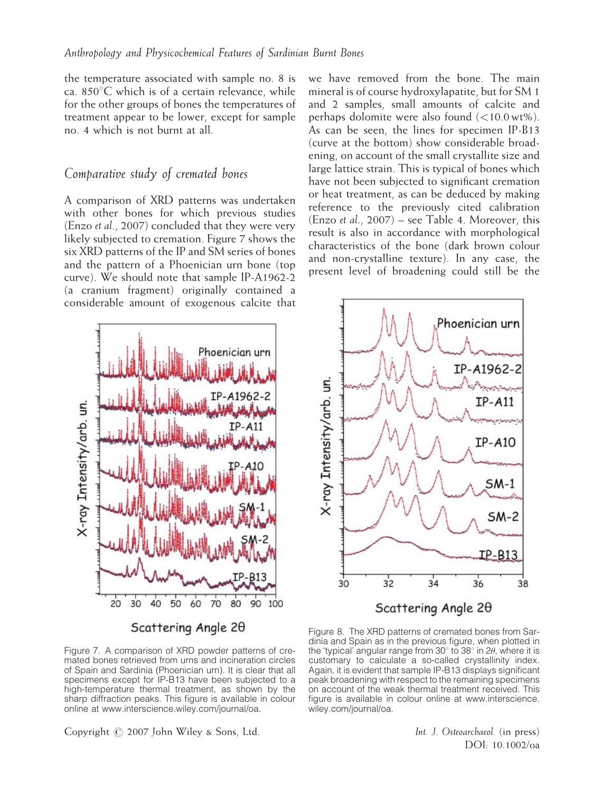the temperature associated with sample no. 8 is ca.  $850^{\circ}$ C which is of a certain relevance, while for the other groups of bones the temperatures of treatment appear to be lower, except for sample no. 4 which is not burnt at all.

#### Comparative study of cremated bones

A comparison of XRD patterns was undertaken with other bones for which previous studies (Enzo et al., 2007) concluded that they were very likely subjected to cremation. Figure 7 shows the six XRD patterns of the IP and SM series of bones and the pattern of a Phoenician urn bone (top curve). We should note that sample IP-A1962-2 (a cranium fragment) originally contained a considerable amount of exogenous calcite that

we have removed from the bone. The main mineral is of course hydroxylapatite, but for SM 1 and 2 samples, small amounts of calcite and perhaps dolomite were also found (<10.0 wt%). As can be seen, the lines for specimen IP-B13 (curve at the bottom) show considerable broadening, on account of the small crystallite size and large lattice strain. This is typical of bones which have not been subjected to significant cremation or heat treatment, as can be deduced by making reference to the previously cited calibration (Enzo et al., 2007) – see Table 4. Moreover, this result is also in accordance with morphological characteristics of the bone (dark brown colour and non-crystalline texture). In any case, the present level of broadening could still be the



Scattering Angle 20

Figure 7. A comparison of XRD powder patterns of cremated bones retrieved from urns and incineration circles of Spain and Sardinia (Phoenician urn). It is clear that all specimens except for IP-B13 have been subjected to a high-temperature thermal treatment, as shown by the sharp diffraction peaks. This figure is available in colour online at www.interscience.wiley.com/journal/oa.



Figure 8. The XRD patterns of cremated bones from Sardinia and Spain as in the previous figure, when plotted in the 'typical' angular range from 30 $^{\circ}$  to 38 $^{\circ}$  in 2 $\theta$ , where it is customary to calculate a so-called crystallinity index. Again, it is evident that sample IP-B13 displays significant peak broadening with respect to the remaining specimens on account of the weak thermal treatment received. This figure is available in colour online at www.interscience. wiley.com/journal/oa.

Copyright  $\oslash$  2007 John Wiley & Sons, Ltd. Int. J. Osteoarchaeol. (in press)

DOI: 10.1002/oa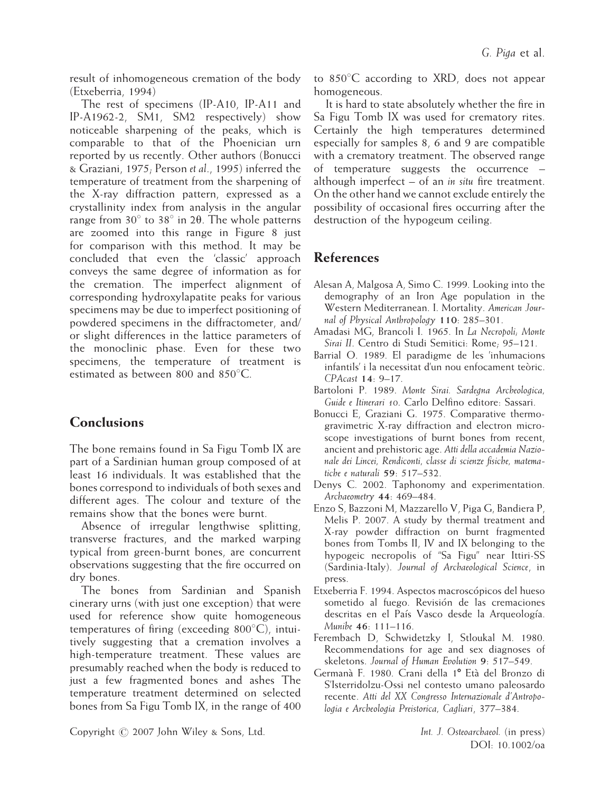result of inhomogeneous cremation of the body (Etxeberria, 1994)

The rest of specimens (IP-A10, IP-A11 and IP-A1962-2, SM1, SM2 respectively) show noticeable sharpening of the peaks, which is comparable to that of the Phoenician urn reported by us recently. Other authors (Bonucci & Graziani, 1975; Person et al., 1995) inferred the temperature of treatment from the sharpening of the X-ray diffraction pattern, expressed as a crystallinity index from analysis in the angular range from  $30^{\circ}$  to  $38^{\circ}$  in 2 $\theta$ . The whole patterns are zoomed into this range in Figure 8 just for comparison with this method. It may be concluded that even the 'classic' approach conveys the same degree of information as for the cremation. The imperfect alignment of corresponding hydroxylapatite peaks for various specimens may be due to imperfect positioning of powdered specimens in the diffractometer, and/ or slight differences in the lattice parameters of the monoclinic phase. Even for these two specimens, the temperature of treatment is estimated as between 800 and  $850^{\circ}$ C.

# **Conclusions**

The bone remains found in Sa Figu Tomb IX are part of a Sardinian human group composed of at least 16 individuals. It was established that the bones correspond to individuals of both sexes and different ages. The colour and texture of the remains show that the bones were burnt.

Absence of irregular lengthwise splitting, transverse fractures, and the marked warping typical from green-burnt bones, are concurrent observations suggesting that the fire occurred on dry bones.

The bones from Sardinian and Spanish cinerary urns (with just one exception) that were used for reference show quite homogeneous temperatures of firing (exceeding  $800^{\circ}$ C), intuitively suggesting that a cremation involves a high-temperature treatment. These values are presumably reached when the body is reduced to just a few fragmented bones and ashes The temperature treatment determined on selected bones from Sa Figu Tomb IX, in the range of 400 to  $850^{\circ}$ C according to XRD, does not appear homogeneous.

It is hard to state absolutely whether the fire in Sa Figu Tomb IX was used for crematory rites. Certainly the high temperatures determined especially for samples 8, 6 and 9 are compatible with a crematory treatment. The observed range of temperature suggests the occurrence – although imperfect  $-$  of an *in situ* fire treatment. On the other hand we cannot exclude entirely the possibility of occasional fires occurring after the destruction of the hypogeum ceiling.

# References

- Alesan A, Malgosa A, Simo C. 1999. Looking into the demography of an Iron Age population in the Western Mediterranean. I. Mortality. American Journal of Physical Anthropology 110: 285–301.
- Amadasi MG, Brancoli I. 1965. In La Necropoli; Monte Sirai II. Centro di Studi Semitici: Rome; 95–121.
- Barrial O. 1989. El paradigme de les 'inhumacions infantils' i la necessitat d'un nou enfocament teòric. CPAcast 14: 9–17.
- Bartoloni P. 1989. Monte Sirai. Sardegna Archeologica, Guide e Itinerari 10. Carlo Delfino editore: Sassari.
- Bonucci E, Graziani G. 1975. Comparative thermogravimetric X-ray diffraction and electron microscope investigations of burnt bones from recent, ancient and prehistoric age. Atti della accademia Nazionale dei Lincei, Rendiconti, classe di scienze fisiche, matematiche e naturali 59: 517–532.
- Denys C. 2002. Taphonomy and experimentation. Archaeometry 44: 469–484.
- Enzo S, Bazzoni M, Mazzarello V, Piga G, Bandiera P, Melis P. 2007. A study by thermal treatment and X-ray powder diffraction on burnt fragmented bones from Tombs II, IV and IX belonging to the hypogeic necropolis of ''Sa Figu'' near Ittiri-SS (Sardinia-Italy). Journal of Archaeological Science, in press.
- Etxeberria F. 1994. Aspectos macroscópicos del hueso sometido al fuego. Revisión de las cremaciones descritas en el País Vasco desde la Arqueología. Munibe 46: 111–116.
- Ferembach D, Schwidetzky I, Stloukal M. 1980. Recommendations for age and sex diagnoses of skeletons. Journal of Human Evolution 9: 517–549.
- Germanà F. 1980. Crani della 1º Età del Bronzo di S'Isterridolzu-Ossi nel contesto umano paleosardo recente. Atti del XX Congresso Internazionale d'Antropologia e Archeologia Preistorica, Cagliari, 377–384.

Copyright  $\oslash$  2007 John Wiley & Sons, Ltd. Int. J. Osteoarchaeol. (in press)

DOI: 10.1002/oa